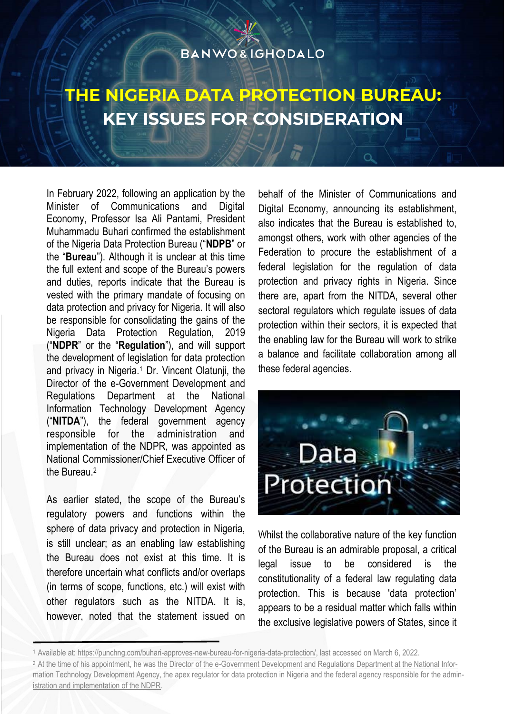#### **BANWO&IGHODALO**

# **THE NIGERIA DATA PROTECTION BUREAU: KEY ISSUES FOR CONSIDERATION**

In February 2022, following an application by the Minister of Communications and Digital Economy, Professor Isa Ali Pantami, President Muhammadu Buhari confirmed the establishment of the Nigeria Data Protection Bureau ("**NDPB**" or the "**Bureau**"). Although it is unclear at this time the full extent and scope of the Bureau's powers and duties, reports indicate that the Bureau is vested with the primary mandate of focusing on data protection and privacy for Nigeria. It will also be responsible for consolidating the gains of the Nigeria Data Protection Regulation, 2019 ("**NDPR**" or the "**Regulation**"), and will support the development of legislation for data protection and privacy in Nigeria.<sup>1</sup> Dr. Vincent Olatunji, the Director of the e-Government Development and Regulations Department at the National Information Technology Development Agency ("**NITDA**"), the federal government agency responsible for the administration and implementation of the NDPR, was appointed as National Commissioner/Chief Executive Officer of the Bureau.<sup>2</sup>

As earlier stated, the scope of the Bureau's regulatory powers and functions within the sphere of data privacy and protection in Nigeria, is still unclear; as an enabling law establishing the Bureau does not exist at this time. It is therefore uncertain what conflicts and/or overlaps (in terms of scope, functions, etc.) will exist with other regulators such as the NITDA. It is, however, noted that the statement issued on behalf of the Minister of Communications and Digital Economy, announcing its establishment, also indicates that the Bureau is established to, amongst others, work with other agencies of the Federation to procure the establishment of a federal legislation for the regulation of data protection and privacy rights in Nigeria. Since there are, apart from the NITDA, several other sectoral regulators which regulate issues of data protection within their sectors, it is expected that the enabling law for the Bureau will work to strike a balance and facilitate collaboration among all these federal agencies.



Whilst the collaborative nature of the key function of the Bureau is an admirable proposal, a critical legal issue to be considered is the constitutionality of a federal law regulating data protection. This is because 'data protection' appears to be a residual matter which falls within the exclusive legislative powers of States, since it

<sup>1.</sup> Available at: [https://punchng.com/buhari-approves-new-bureau-for-nigeria-data-protection/,](https://punchng.com/buhari-approves-new-bureau-for-nigeria-data-protection/) last accessed on March 6, 2022. <sup>2.</sup> At the time of his appointment, he was the Director of the e-Government Development and Regulations Department at the National Information Technology Development Agency, the apex regulator for data protection in Nigeria and the federal agency responsible for the administration and implementation of the NDPR.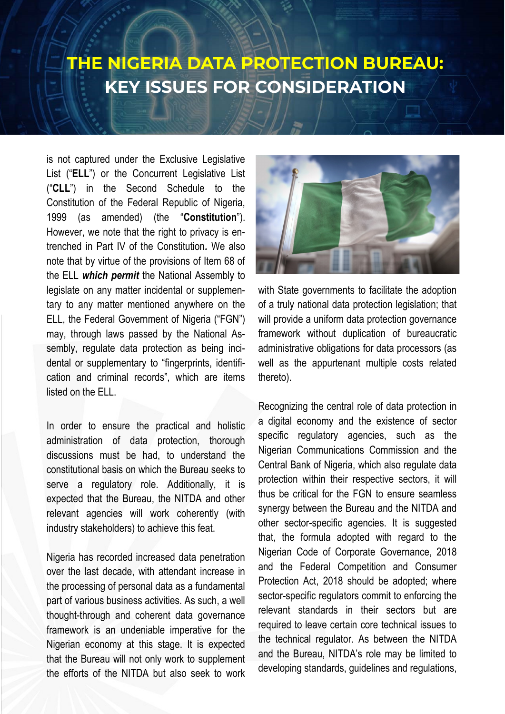#### **THE NIGERIA DATA PROTECTION BUREAU: KEY ISSUES FOR CONSIDERATION**

is not captured under the Exclusive Legislative List ("**ELL**") or the Concurrent Legislative List ("**CLL**") in the Second Schedule to the Constitution of the Federal Republic of Nigeria, 1999 (as amended) (the "**Constitution**"). However, we note that the right to privacy is entrenched in Part IV of the Constitution*.* We also note that by virtue of the provisions of Item 68 of the ELL *which permit* the National Assembly to legislate on any matter incidental or supplementary to any matter mentioned anywhere on the ELL, the Federal Government of Nigeria ("FGN") may, through laws passed by the National Assembly, regulate data protection as being incidental or supplementary to "fingerprints, identification and criminal records", which are items listed on the ELL.

In order to ensure the practical and holistic administration of data protection, thorough discussions must be had, to understand the constitutional basis on which the Bureau seeks to serve a regulatory role. Additionally, it is expected that the Bureau, the NITDA and other relevant agencies will work coherently (with industry stakeholders) to achieve this feat.

Nigeria has recorded increased data penetration over the last decade, with attendant increase in the processing of personal data as a fundamental part of various business activities. As such, a well thought-through and coherent data governance framework is an undeniable imperative for the Nigerian economy at this stage. It is expected that the Bureau will not only work to supplement the efforts of the NITDA but also seek to work



with State governments to facilitate the adoption of a truly national data protection legislation; that will provide a uniform data protection governance framework without duplication of bureaucratic administrative obligations for data processors (as well as the appurtenant multiple costs related thereto).

Recognizing the central role of data protection in a digital economy and the existence of sector specific regulatory agencies, such as the Nigerian Communications Commission and the Central Bank of Nigeria, which also regulate data protection within their respective sectors, it will thus be critical for the FGN to ensure seamless synergy between the Bureau and the NITDA and other sector-specific agencies. It is suggested that, the formula adopted with regard to the Nigerian Code of Corporate Governance, 2018 and the Federal Competition and Consumer Protection Act, 2018 should be adopted; where sector-specific regulators commit to enforcing the relevant standards in their sectors but are required to leave certain core technical issues to the technical regulator. As between the NITDA and the Bureau, NITDA's role may be limited to developing standards, guidelines and regulations,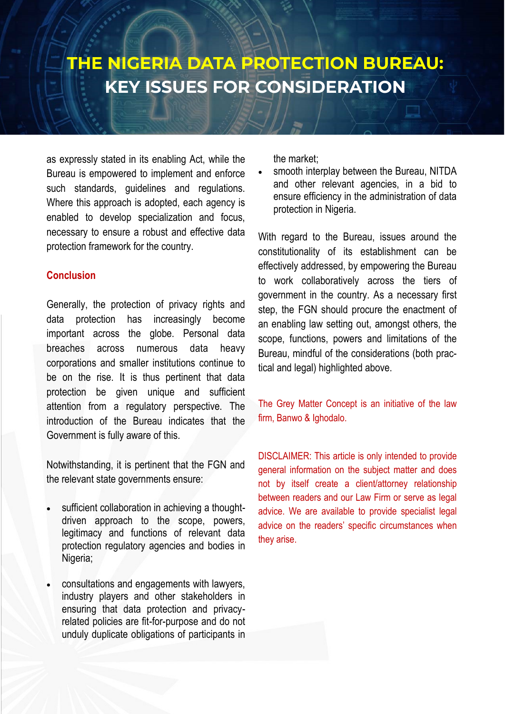### **THE NIGERIA DATA PROTECTION BUREAU: KEY ISSUES FOR CONSIDERATION**

as expressly stated in its enabling Act, while the Bureau is empowered to implement and enforce such standards, guidelines and regulations. Where this approach is adopted, each agency is enabled to develop specialization and focus, necessary to ensure a robust and effective data protection framework for the country.

#### **Conclusion**

Generally, the protection of privacy rights and data protection has increasingly become important across the globe. Personal data breaches across numerous data heavy corporations and smaller institutions continue to be on the rise. It is thus pertinent that data protection be given unique and sufficient attention from a regulatory perspective. The introduction of the Bureau indicates that the Government is fully aware of this.

Notwithstanding, it is pertinent that the FGN and the relevant state governments ensure:

- sufficient collaboration in achieving a thoughtdriven approach to the scope, powers, legitimacy and functions of relevant data protection regulatory agencies and bodies in Nigeria;
- consultations and engagements with lawyers, industry players and other stakeholders in ensuring that data protection and privacyrelated policies are fit-for-purpose and do not unduly duplicate obligations of participants in

the market;

smooth interplay between the Bureau, NITDA and other relevant agencies, in a bid to ensure efficiency in the administration of data protection in Nigeria.

With regard to the Bureau, issues around the constitutionality of its establishment can be effectively addressed, by empowering the Bureau to work collaboratively across the tiers of government in the country. As a necessary first step, the FGN should procure the enactment of an enabling law setting out, amongst others, the scope, functions, powers and limitations of the Bureau, mindful of the considerations (both practical and legal) highlighted above.

The Grey Matter Concept is an initiative of the law firm, Banwo & Ighodalo.

DISCLAIMER: This article is only intended to provide general information on the subject matter and does not by itself create a client/attorney relationship between readers and our Law Firm or serve as legal advice. We are available to provide specialist legal advice on the readers' specific circumstances when they arise.